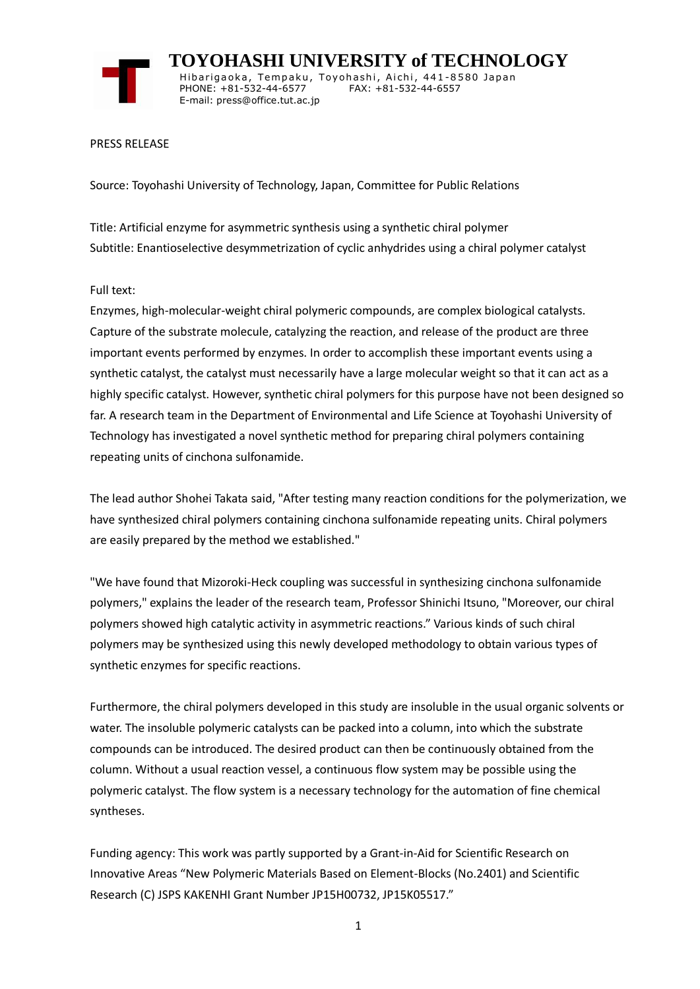

 **TOYOHASHI UNIVERSITY of TECHNOLOGY** Hibarigaoka, Tempaku, Toyohashi, Aichi, 441-8580 Japan PHONE: +81-532-44-6577 FAX: +81-532-44-6557 E-mail: press@office.tut.ac.jp

PRESS RELEASE

Source: Toyohashi University of Technology, Japan, Committee for Public Relations

Title: Artificial enzyme for asymmetric synthesis using a synthetic chiral polymer Subtitle: Enantioselective desymmetrization of cyclic anhydrides using a chiral polymer catalyst

## Full text:

Enzymes, high-molecular-weight chiral polymeric compounds, are complex biological catalysts. Capture of the substrate molecule, catalyzing the reaction, and release of the product are three important events performed by enzymes. In order to accomplish these important events using a synthetic catalyst, the catalyst must necessarily have a large molecular weight so that it can act as a highly specific catalyst. However, synthetic chiral polymers for this purpose have not been designed so far. A research team in the Department of Environmental and Life Science at Toyohashi University of Technology has investigated a novel synthetic method for preparing chiral polymers containing repeating units of cinchona sulfonamide.

The lead author Shohei Takata said, "After testing many reaction conditions for the polymerization, we have synthesized chiral polymers containing cinchona sulfonamide repeating units. Chiral polymers are easily prepared by the method we established."

"We have found that Mizoroki-Heck coupling was successful in synthesizing cinchona sulfonamide polymers," explains the leader of the research team, Professor Shinichi Itsuno, "Moreover, our chiral polymers showed high catalytic activity in asymmetric reactions." Various kinds of such chiral polymers may be synthesized using this newly developed methodology to obtain various types of synthetic enzymes for specific reactions.

Furthermore, the chiral polymers developed in this study are insoluble in the usual organic solvents or water. The insoluble polymeric catalysts can be packed into a column, into which the substrate compounds can be introduced. The desired product can then be continuously obtained from the column. Without a usual reaction vessel, a continuous flow system may be possible using the polymeric catalyst. The flow system is a necessary technology for the automation of fine chemical syntheses.

Funding agency: This work was partly supported by a Grant-in-Aid for Scientific Research on Innovative Areas "New Polymeric Materials Based on Element-Blocks (No.2401) and Scientific Research (C) JSPS KAKENHI Grant Number JP15H00732, JP15K05517."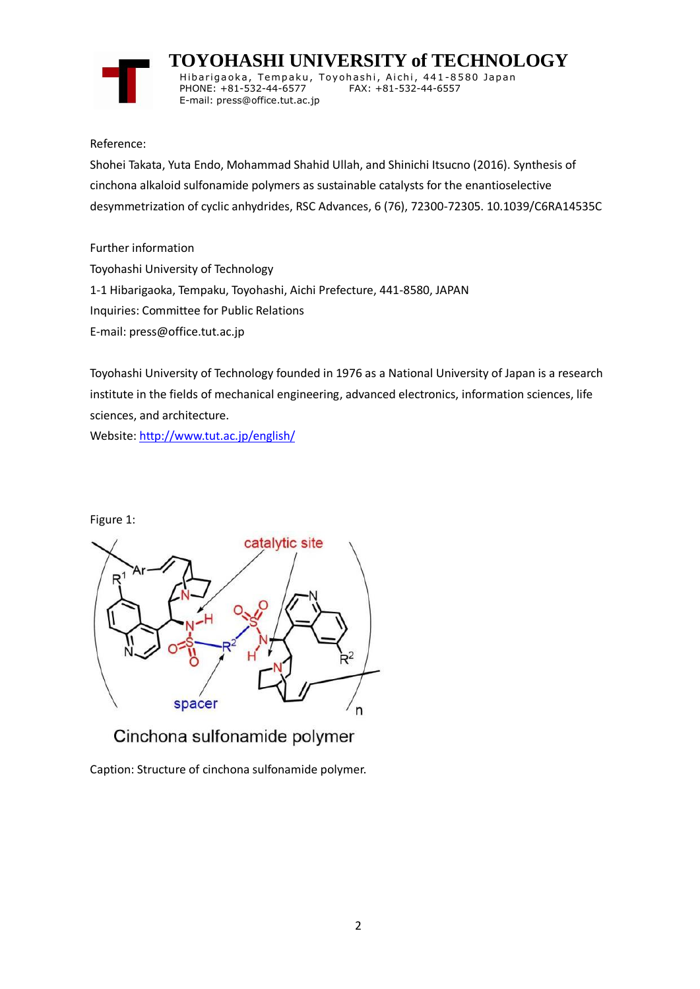

 **TOYOHASHI UNIVERSITY of TECHNOLOGY** Hibarigaoka, Tempaku, Toyohashi, Aichi, 441-8580 Japan PHONE: +81-532-44-6577 FAX: +81-532-44-6557 E-mail: press@office.tut.ac.jp

Reference:

Shohei Takata, Yuta Endo, Mohammad Shahid Ullah, and Shinichi Itsucno (2016). Synthesis of cinchona alkaloid sulfonamide polymers as sustainable catalysts for the enantioselective desymmetrization of cyclic anhydrides, RSC Advances, 6 (76), 72300-72305. 10.1039/C6RA14535C

Further information Toyohashi University of Technology 1-1 Hibarigaoka, Tempaku, Toyohashi, Aichi Prefecture, 441-8580, JAPAN Inquiries: Committee for Public Relations E-mail: press@office.tut.ac.jp

Toyohashi University of Technology founded in 1976 as a National University of Japan is a research institute in the fields of mechanical engineering, advanced electronics, information sciences, life sciences, and architecture.

Website[: http://www.tut.ac.jp/english/](https://www.tut.ac.jp/english/)

Figure 1:



Cinchona sulfonamide polymer

Caption: Structure of cinchona sulfonamide polymer.